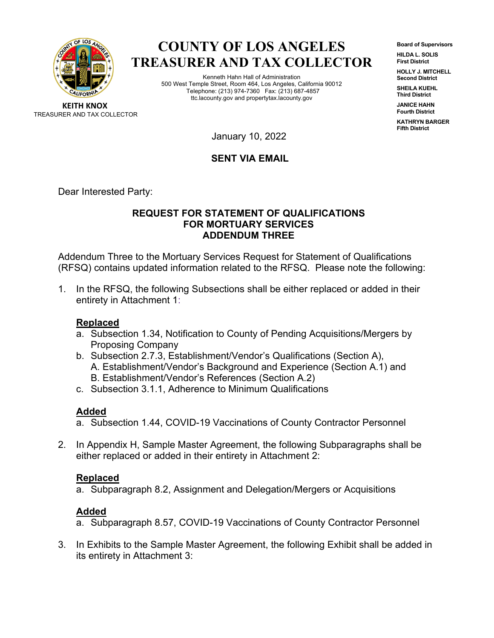

# **COUNTY OF LOS ANGELES TREASURER AND TAX COLLECTOR**

Kenneth Hahn Hall of Administration 500 West Temple Street, Room 464, Los Angeles, California 90012 Telephone: (213) 974-7360 Fax: (213) 687-4857 ttc.lacounty.gov and propertytax.lacounty.gov

**Board of Supervisors HILDA L. SOLIS First District**

**HOLLY J. MITCHELL Second District**

**SHEILA KUEHL Third District**

**JANICE HAHN Fourth District**

**KATHRYN BARGER Fifth District**

**KEITH KNOX** TREASURER AND TAX COLLECTOR

January 10, 2022

# **SENT VIA EMAIL**

Dear Interested Party:

#### **REQUEST FOR STATEMENT OF QUALIFICATIONS FOR MORTUARY SERVICES ADDENDUM THREE**

Addendum Three to the Mortuary Services Request for Statement of Qualifications (RFSQ) contains updated information related to the RFSQ. Please note the following:

1. In the RFSQ, the following Subsections shall be either replaced or added in their entirety in Attachment 1:

# **Replaced**

- a. Subsection 1.34, Notification to County of Pending Acquisitions/Mergers by Proposing Company
- b. Subsection 2.7.3, Establishment/Vendor's Qualifications (Section A), A. Establishment/Vendor's Background and Experience (Section A.1) and B. Establishment/Vendor's References (Section A.2)
- c. Subsection 3.1.1, Adherence to Minimum Qualifications

# **Added**

- a. Subsection 1.44, COVID-19 Vaccinations of County Contractor Personnel
- 2. In Appendix H, Sample Master Agreement, the following Subparagraphs shall be either replaced or added in their entirety in Attachment 2:

# **Replaced**

a. Subparagraph 8.2, Assignment and Delegation/Mergers or Acquisitions

# **Added**

- a. Subparagraph 8.57, COVID-19 Vaccinations of County Contractor Personnel
- 3. In Exhibits to the Sample Master Agreement, the following Exhibit shall be added in its entirety in Attachment 3: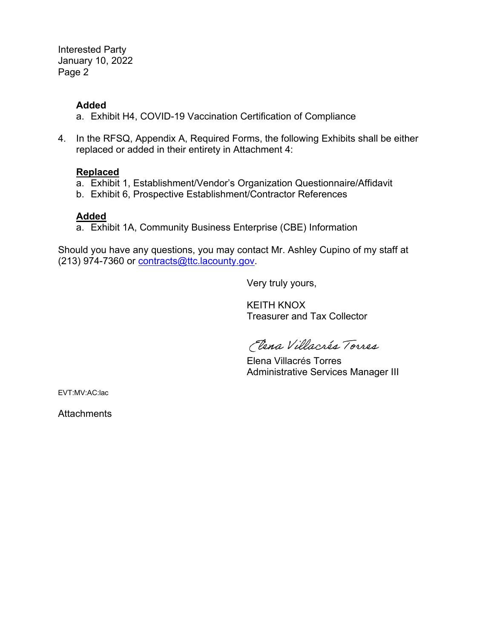Interested Party January 10, 2022 Page 2

#### **Added**

- a. Exhibit H4, COVID-19 Vaccination Certification of Compliance
- 4. In the RFSQ, Appendix A, Required Forms, the following Exhibits shall be either replaced or added in their entirety in Attachment 4:

### **Replaced**

- a. Exhibit 1, Establishment/Vendor's Organization Questionnaire/Affidavit
- b. Exhibit 6, Prospective Establishment/Contractor References

#### **Added**

a. Exhibit 1A, Community Business Enterprise (CBE) Information

Should you have any questions, you may contact Mr. Ashley Cupino of my staff at (213) 974-7360 or [contracts@ttc.lacounty.gov.](mailto:contracts@ttc.lacounty.gov)

Very truly yours,

KEITH KNOX Treasurer and Tax Collector

Eena Villacrés Torres

Elena Villacrés Torres Administrative Services Manager III

EVT:MV:AC:lac

**Attachments**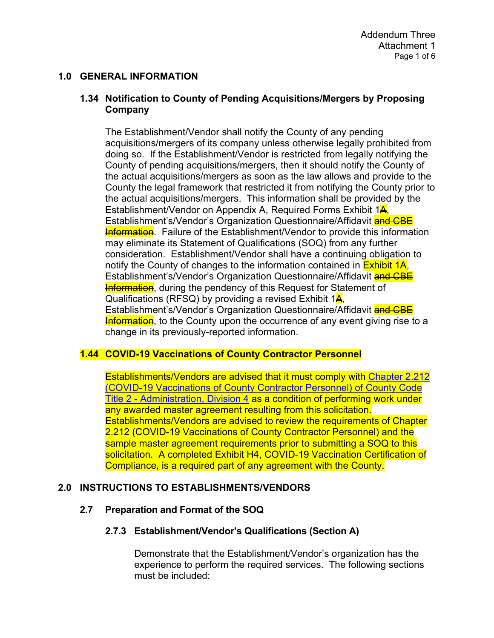## **1.0 GENERAL INFORMATION**

### **1.34 Notification to County of Pending Acquisitions/Mergers by Proposing Company**

The Establishment/Vendor shall notify the County of any pending acquisitions/mergers of its company unless otherwise legally prohibited from doing so. If the Establishment/Vendor is restricted from legally notifying the County of pending acquisitions/mergers, then it should notify the County of the actual acquisitions/mergers as soon as the law allows and provide to the County the legal framework that restricted it from notifying the County prior to the actual acquisitions/mergers. This information shall be provided by the Establishment/Vendor on Appendix A, Required Forms Exhibit 1<sup>4</sup>, Establishment's/Vendor's Organization Questionnaire/Affidavit and CBE **Information**. Failure of the Establishment/Vendor to provide this information may eliminate its Statement of Qualifications (SOQ) from any further consideration. Establishment/Vendor shall have a continuing obligation to notify the County of changes to the information contained in  $\overline{\text{Exhibit 14}}$ , Establishment's/Vendor's Organization Questionnaire/Affidavit and CBE **Information**, during the pendency of this Request for Statement of Qualifications (RFSQ) by providing a revised Exhibit  $1\frac{\mathsf{A}}{\mathsf{A}}$ , Establishment's/Vendor's Organization Questionnaire/Affidavit and CBE **Information**, to the County upon the occurrence of any event giving rise to a change in its previously-reported information.

# **1.44 COVID-19 Vaccinations of County Contractor Personnel**

Establishments/Vendors are advised that it must comply with [Chapter 2.212](https://library.municode.com/ca/los_angeles_county/codes/code_of_ordinances?nodeId=TIT2AD_DIV4MIRE_CH2.212COVACOCOPE)  [\(COVID-19 Vaccinations of County Contractor Personnel\) of County Code](https://library.municode.com/ca/los_angeles_county/codes/code_of_ordinances?nodeId=TIT2AD_DIV4MIRE_CH2.212COVACOCOPE)  Title 2 - [Administration, Division 4](https://library.municode.com/ca/los_angeles_county/codes/code_of_ordinances?nodeId=TIT2AD_DIV4MIRE_CH2.212COVACOCOPE) as a condition of performing work under any awarded master agreement resulting from this solicitation. Establishments/Vendors are advised to review the requirements of Chapter 2.212 (COVID-19 Vaccinations of County Contractor Personnel) and the sample master agreement requirements prior to submitting a SOQ to this solicitation. A completed Exhibit H4, COVID-19 Vaccination Certification of Compliance, is a required part of any agreement with the County.

#### **2.0 INSTRUCTIONS TO ESTABLISHMENTS/VENDORS**

#### **2.7 Preparation and Format of the SOQ**

#### **2.7.3 Establishment/Vendor's Qualifications (Section A)**

Demonstrate that the Establishment/Vendor's organization has the experience to perform the required services. The following sections must be included: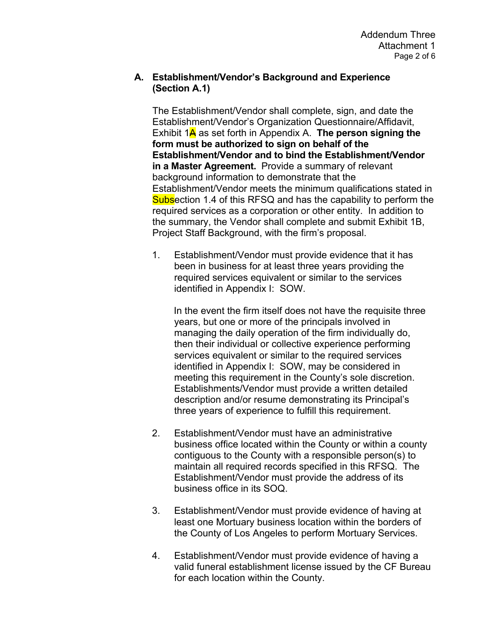#### **A. Establishment/Vendor's Background and Experience (Section A.1)**

The Establishment/Vendor shall complete, sign, and date the Establishment/Vendor's Organization Questionnaire/Affidavit, Exhibit 1A as set forth in Appendix A. **The person signing the form must be authorized to sign on behalf of the Establishment/Vendor and to bind the Establishment/Vendor in a Master Agreement.** Provide a summary of relevant background information to demonstrate that the Establishment/Vendor meets the minimum qualifications stated in Subsection 1.4 of this RFSQ and has the capability to perform the required services as a corporation or other entity. In addition to the summary, the Vendor shall complete and submit Exhibit 1B, Project Staff Background, with the firm's proposal.

1. Establishment/Vendor must provide evidence that it has been in business for at least three years providing the required services equivalent or similar to the services identified in Appendix I: SOW.

In the event the firm itself does not have the requisite three years, but one or more of the principals involved in managing the daily operation of the firm individually do, then their individual or collective experience performing services equivalent or similar to the required services identified in Appendix I: SOW, may be considered in meeting this requirement in the County's sole discretion. Establishments/Vendor must provide a written detailed description and/or resume demonstrating its Principal's three years of experience to fulfill this requirement.

- 2. Establishment/Vendor must have an administrative business office located within the County or within a county contiguous to the County with a responsible person(s) to maintain all required records specified in this RFSQ. The Establishment/Vendor must provide the address of its business office in its SOQ.
- 3. Establishment/Vendor must provide evidence of having at least one Mortuary business location within the borders of the County of Los Angeles to perform Mortuary Services.
- 4. Establishment/Vendor must provide evidence of having a valid funeral establishment license issued by the CF Bureau for each location within the County.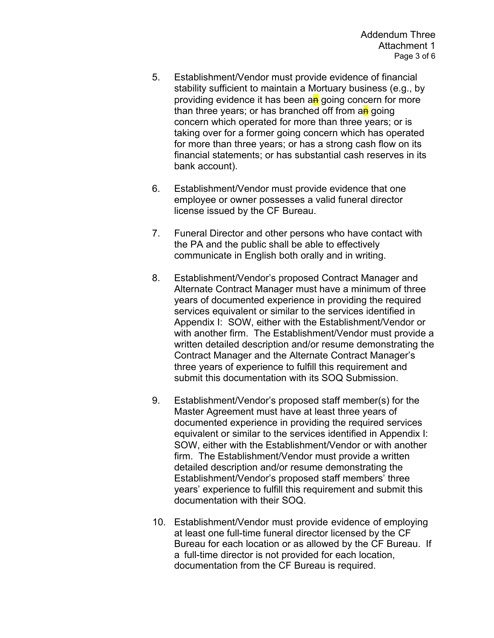- 5. Establishment/Vendor must provide evidence of financial stability sufficient to maintain a Mortuary business (e.g., by providing evidence it has been an going concern for more than three years; or has branched off from an going concern which operated for more than three years; or is taking over for a former going concern which has operated for more than three years; or has a strong cash flow on its financial statements; or has substantial cash reserves in its bank account).
- 6. Establishment/Vendor must provide evidence that one employee or owner possesses a valid funeral director license issued by the CF Bureau.
- 7. Funeral Director and other persons who have contact with the PA and the public shall be able to effectively communicate in English both orally and in writing.
- 8. Establishment/Vendor's proposed Contract Manager and Alternate Contract Manager must have a minimum of three years of documented experience in providing the required services equivalent or similar to the services identified in Appendix I: SOW, either with the Establishment/Vendor or with another firm. The Establishment/Vendor must provide a written detailed description and/or resume demonstrating the Contract Manager and the Alternate Contract Manager's three years of experience to fulfill this requirement and submit this documentation with its SOQ Submission.
- 9. Establishment/Vendor's proposed staff member(s) for the Master Agreement must have at least three years of documented experience in providing the required services equivalent or similar to the services identified in Appendix I: SOW, either with the Establishment/Vendor or with another firm. The Establishment/Vendor must provide a written detailed description and/or resume demonstrating the Establishment/Vendor's proposed staff members' three years' experience to fulfill this requirement and submit this documentation with their SOQ.
- 10. Establishment/Vendor must provide evidence of employing at least one full-time funeral director licensed by the CF Bureau for each location or as allowed by the CF Bureau. If a full-time director is not provided for each location, documentation from the CF Bureau is required.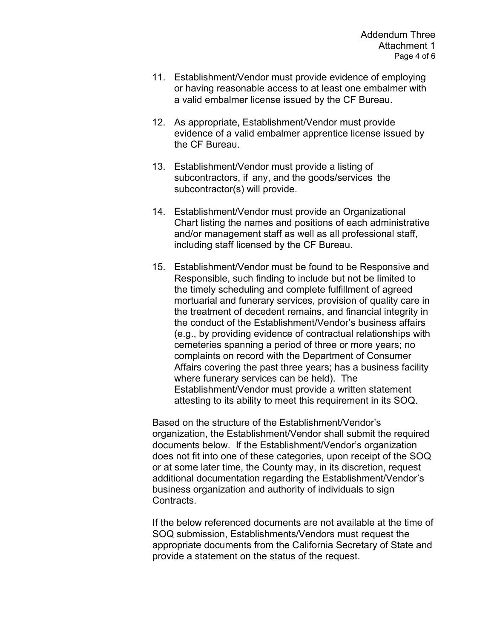- 11. Establishment/Vendor must provide evidence of employing or having reasonable access to at least one embalmer with a valid embalmer license issued by the CF Bureau.
- 12. As appropriate, Establishment/Vendor must provide evidence of a valid embalmer apprentice license issued by the CF Bureau.
- 13. Establishment/Vendor must provide a listing of subcontractors, if any, and the goods/services the subcontractor(s) will provide.
- 14. Establishment/Vendor must provide an Organizational Chart listing the names and positions of each administrative and/or management staff as well as all professional staff, including staff licensed by the CF Bureau.
- 15. Establishment/Vendor must be found to be Responsive and Responsible, such finding to include but not be limited to the timely scheduling and complete fulfillment of agreed mortuarial and funerary services, provision of quality care in the treatment of decedent remains, and financial integrity in the conduct of the Establishment/Vendor's business affairs (e.g., by providing evidence of contractual relationships with cemeteries spanning a period of three or more years; no complaints on record with the Department of Consumer Affairs covering the past three years; has a business facility where funerary services can be held). The Establishment/Vendor must provide a written statement attesting to its ability to meet this requirement in its SOQ.

Based on the structure of the Establishment/Vendor's organization, the Establishment/Vendor shall submit the required documents below. If the Establishment/Vendor's organization does not fit into one of these categories, upon receipt of the SOQ or at some later time, the County may, in its discretion, request additional documentation regarding the Establishment/Vendor's business organization and authority of individuals to sign Contracts.

If the below referenced documents are not available at the time of SOQ submission, Establishments/Vendors must request the appropriate documents from the California Secretary of State and provide a statement on the status of the request.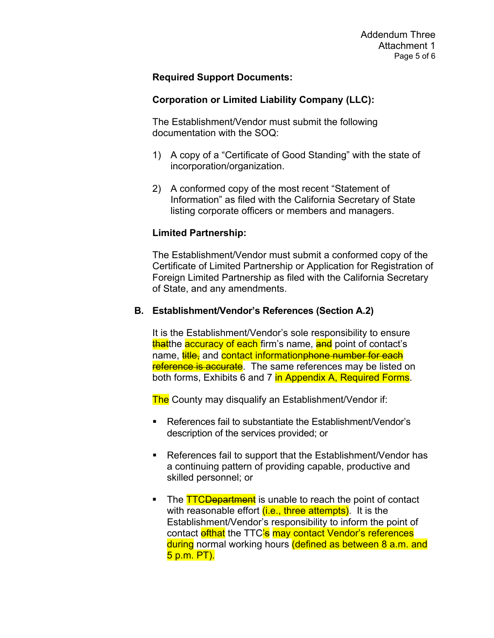### **Required Support Documents:**

### **Corporation or Limited Liability Company (LLC):**

The Establishment/Vendor must submit the following documentation with the SOQ:

- 1) A copy of a "Certificate of Good Standing" with the state of incorporation/organization.
- 2) A conformed copy of the most recent "Statement of Information" as filed with the California Secretary of State listing corporate officers or members and managers.

### **Limited Partnership:**

The Establishment/Vendor must submit a conformed copy of the Certificate of Limited Partnership or Application for Registration of Foreign Limited Partnership as filed with the California Secretary of State, and any amendments.

### **B. Establishment/Vendor's References (Section A.2)**

It is the Establishment/Vendor's sole responsibility to ensure thatthe accuracy of each firm's name, and point of contact's name, **title,** and **contact informationphone number for each** reference is accurate. The same references may be listed on both forms, Exhibits 6 and 7 in Appendix A, Required Forms.

The County may disqualify an Establishment/Vendor if:

- References fail to substantiate the Establishment/Vendor's description of the services provided; or
- References fail to support that the Establishment/Vendor has a continuing pattern of providing capable, productive and skilled personnel; or
- The **TTCDepartment** is unable to reach the point of contact with reasonable effort  $(i.e., three attempts)$ . It is the Establishment/Vendor's responsibility to inform the point of contact **efthat** the TTC's may contact Vendor's references during normal working hours (defined as between 8 a.m. and 5 p.m. PT).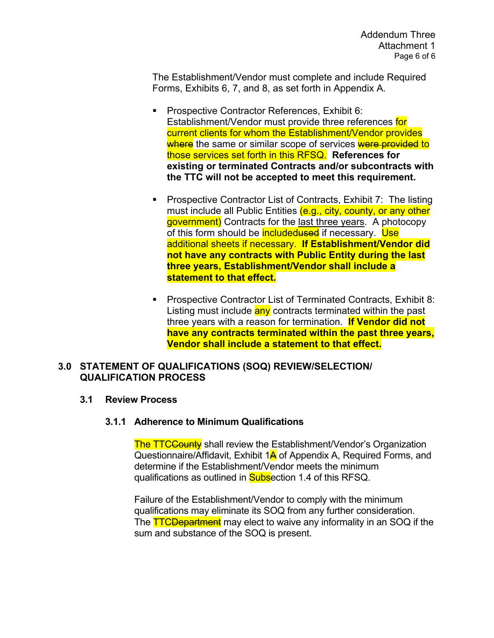The Establishment/Vendor must complete and include Required Forms, Exhibits 6, 7, and 8, as set forth in Appendix A.

- **Prospective Contractor References, Exhibit 6:** Establishment/Vendor must provide three references for current clients for whom the Establishment/Vendor provides where the same or similar scope of services were provided to those services set forth in this RFSQ. **References for existing or terminated Contracts and/or subcontracts with the TTC will not be accepted to meet this requirement.**
- **Prospective Contractor List of Contracts, Exhibit 7: The listing** must include all Public Entities (e.g., city, county, or any other government) Contracts for the last three years. A photocopy of this form should be **includedused** if necessary. Use additional sheets if necessary. **If Establishment/Vendor did not have any contracts with Public Entity during the last three years, Establishment/Vendor shall include a statement to that effect.**
- Prospective Contractor List of Terminated Contracts, Exhibit 8: Listing must include any contracts terminated within the past three years with a reason for termination. **If Vendor did not have any contracts terminated within the past three years, Vendor shall include a statement to that effect.**

#### **3.0 STATEMENT OF QUALIFICATIONS (SOQ) REVIEW/SELECTION/ QUALIFICATION PROCESS**

#### **3.1 Review Process**

#### **3.1.1 Adherence to Minimum Qualifications**

**The TTCCounty** shall review the Establishment/Vendor's Organization Questionnaire/Affidavit, Exhibit 1A of Appendix A, Required Forms, and determine if the Establishment/Vendor meets the minimum qualifications as outlined in **Subs**ection 1.4 of this RFSQ.

Failure of the Establishment/Vendor to comply with the minimum qualifications may eliminate its SOQ from any further consideration. The **TTCDepartment** may elect to waive any informality in an SOQ if the sum and substance of the SOQ is present.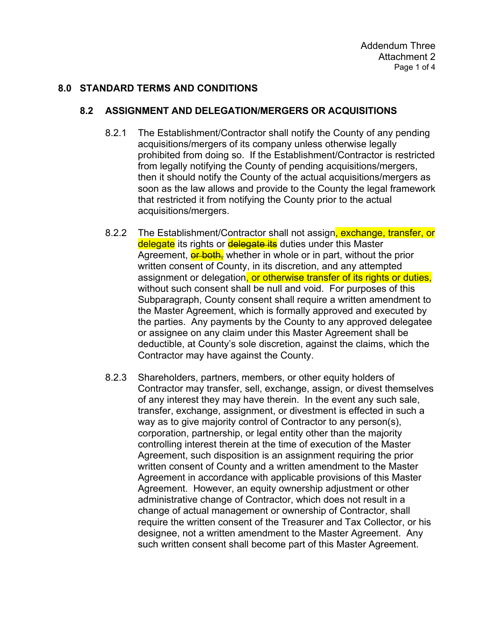### **8.0 STANDARD TERMS AND CONDITIONS**

#### **8.2 ASSIGNMENT AND DELEGATION/MERGERS OR ACQUISITIONS**

- 8.2.1 The Establishment/Contractor shall notify the County of any pending acquisitions/mergers of its company unless otherwise legally prohibited from doing so. If the Establishment/Contractor is restricted from legally notifying the County of pending acquisitions/mergers, then it should notify the County of the actual acquisitions/mergers as soon as the law allows and provide to the County the legal framework that restricted it from notifying the County prior to the actual acquisitions/mergers.
- 8.2.2 The Establishment/Contractor shall not assign, exchange, transfer, or delegate its rights or delegate its duties under this Master Agreement, *er both*, whether in whole or in part, without the prior written consent of County, in its discretion, and any attempted assignment or delegation, or otherwise transfer of its rights or duties, without such consent shall be null and void. For purposes of this Subparagraph, County consent shall require a written amendment to the Master Agreement, which is formally approved and executed by the parties. Any payments by the County to any approved delegatee or assignee on any claim under this Master Agreement shall be deductible, at County's sole discretion, against the claims, which the Contractor may have against the County.
- 8.2.3 Shareholders, partners, members, or other equity holders of Contractor may transfer, sell, exchange, assign, or divest themselves of any interest they may have therein. In the event any such sale, transfer, exchange, assignment, or divestment is effected in such a way as to give majority control of Contractor to any person(s), corporation, partnership, or legal entity other than the majority controlling interest therein at the time of execution of the Master Agreement, such disposition is an assignment requiring the prior written consent of County and a written amendment to the Master Agreement in accordance with applicable provisions of this Master Agreement. However, an equity ownership adjustment or other administrative change of Contractor, which does not result in a change of actual management or ownership of Contractor, shall require the written consent of the Treasurer and Tax Collector, or his designee, not a written amendment to the Master Agreement. Any such written consent shall become part of this Master Agreement.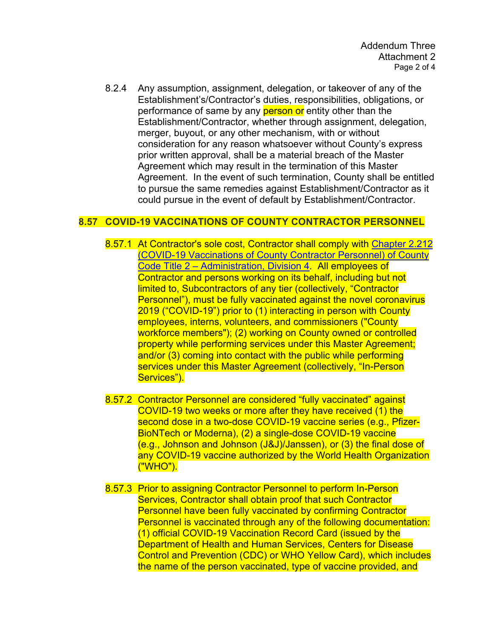8.2.4 Any assumption, assignment, delegation, or takeover of any of the Establishment's/Contractor's duties, responsibilities, obligations, or performance of same by any **person or** entity other than the Establishment/Contractor, whether through assignment, delegation, merger, buyout, or any other mechanism, with or without consideration for any reason whatsoever without County's express prior written approval, shall be a material breach of the Master Agreement which may result in the termination of this Master Agreement. In the event of such termination, County shall be entitled to pursue the same remedies against Establishment/Contractor as it could pursue in the event of default by Establishment/Contractor.

### **8.57 COVID-19 VACCINATIONS OF COUNTY CONTRACTOR PERSONNEL**

- 8.57.1 At Contractor's sole cost, Contractor shall comply with [Chapter 2.212](https://library.municode.com/ca/los_angeles_county/codes/code_of_ordinances?nodeId=TIT2AD_DIV4MIRE_CH2.212COVACOCOPE)  [\(COVID-19 Vaccinations of County Contractor Personnel\) of County](https://library.municode.com/ca/los_angeles_county/codes/code_of_ordinances?nodeId=TIT2AD_DIV4MIRE_CH2.212COVACOCOPE)  [Code Title 2 – Administration, Division 4.](https://library.municode.com/ca/los_angeles_county/codes/code_of_ordinances?nodeId=TIT2AD_DIV4MIRE_CH2.212COVACOCOPE) All employees of Contractor and persons working on its behalf, including but not limited to, Subcontractors of any tier (collectively, "Contractor Personnel"), must be fully vaccinated against the novel coronavirus 2019 ("COVID-19") prior to (1) interacting in person with County employees, interns, volunteers, and commissioners ("County workforce members"); (2) working on County owned or controlled property while performing services under this Master Agreement; and/or (3) coming into contact with the public while performing services under this Master Agreement (collectively, "In-Person Services").
- 8.57.2 Contractor Personnel are considered "fully vaccinated" against COVID-19 two weeks or more after they have received (1) the second dose in a two-dose COVID-19 vaccine series (e.g., Pfizer-BioNTech or Moderna), (2) a single-dose COVID-19 vaccine (e.g., Johnson and Johnson (J&J)/Janssen), or (3) the final dose of any COVID-19 vaccine authorized by the World Health Organization ("WHO").
- 8.57.3 Prior to assigning Contractor Personnel to perform In-Person Services, Contractor shall obtain proof that such Contractor Personnel have been fully vaccinated by confirming Contractor Personnel is vaccinated through any of the following documentation: (1) official COVID-19 Vaccination Record Card (issued by the Department of Health and Human Services, Centers for Disease Control and Prevention (CDC) or WHO Yellow Card), which includes the name of the person vaccinated, type of vaccine provided, and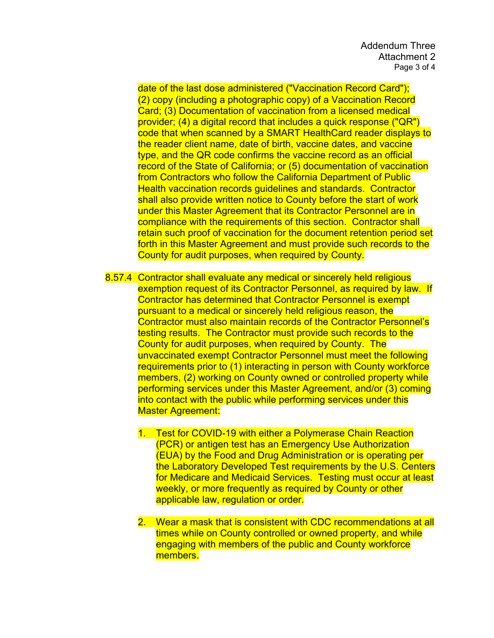date of the last dose administered ("Vaccination Record Card"); (2) copy (including a photographic copy) of a Vaccination Record Card; (3) Documentation of vaccination from a licensed medical provider; (4) a digital record that includes a quick response ("QR") code that when scanned by a SMART HealthCard reader displays to the reader client name, date of birth, vaccine dates, and vaccine type, and the QR code confirms the vaccine record as an official record of the State of California; or (5) documentation of vaccination from Contractors who follow the California Department of Public Health vaccination records guidelines and standards. Contractor shall also provide written notice to County before the start of work under this Master Agreement that its Contractor Personnel are in compliance with the requirements of this section. Contractor shall retain such proof of vaccination for the document retention period set forth in this Master Agreement and must provide such records to the County for audit purposes, when required by County.

- 8.57.4 Contractor shall evaluate any medical or sincerely held religious exemption request of its Contractor Personnel, as required by law. If Contractor has determined that Contractor Personnel is exempt pursuant to a medical or sincerely held religious reason, the Contractor must also maintain records of the Contractor Personnel's testing results. The Contractor must provide such records to the County for audit purposes, when required by County. The unvaccinated exempt Contractor Personnel must meet the following requirements prior to (1) interacting in person with County workforce members, (2) working on County owned or controlled property while performing services under this Master Agreement, and/or (3) coming into contact with the public while performing services under this Master Agreement:
	- 1. Test for COVID-19 with either a Polymerase Chain Reaction (PCR) or antigen test has an Emergency Use Authorization (EUA) by the Food and Drug Administration or is operating per the Laboratory Developed Test requirements by the U.S. Centers for Medicare and Medicaid Services. Testing must occur at least weekly, or more frequently as required by County or other applicable law, regulation or order.
	- 2. Wear a mask that is consistent with CDC recommendations at all times while on County controlled or owned property, and while engaging with members of the public and County workforce members.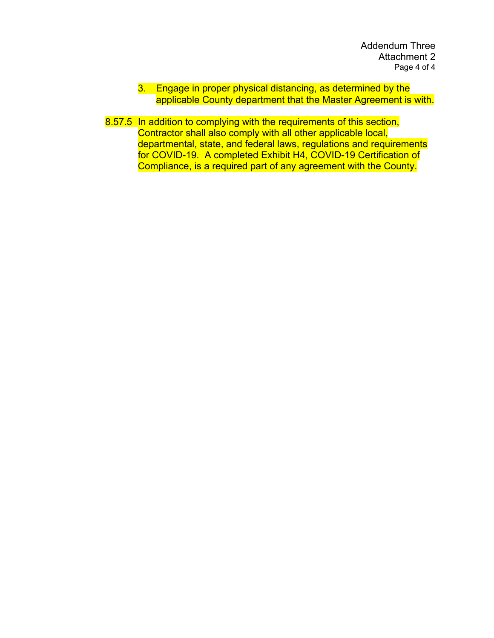- 3. Engage in proper physical distancing, as determined by the applicable County department that the Master Agreement is with.
- 8.57.5 In addition to complying with the requirements of this section, Contractor shall also comply with all other applicable local, departmental, state, and federal laws, regulations and requirements for COVID-19. A completed Exhibit H4, COVID-19 Certification of Compliance, is a required part of any agreement with the County.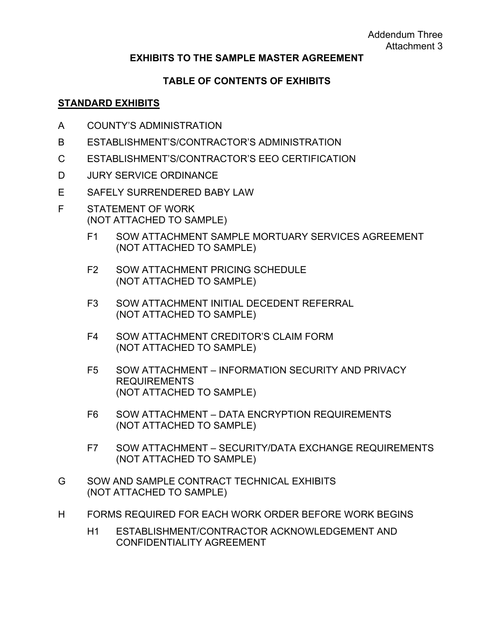#### **EXHIBITS TO THE SAMPLE MASTER AGREEMENT**

#### **TABLE OF CONTENTS OF EXHIBITS**

#### **STANDARD EXHIBITS**

- A COUNTY'S ADMINISTRATION
- B ESTABLISHMENT'S/CONTRACTOR'S ADMINISTRATION
- C ESTABLISHMENT'S/CONTRACTOR'S EEO CERTIFICATION
- D JURY SERVICE ORDINANCE
- E SAFELY SURRENDERED BABY LAW
- F STATEMENT OF WORK (NOT ATTACHED TO SAMPLE)
	- F1 SOW ATTACHMENT SAMPLE MORTUARY SERVICES AGREEMENT (NOT ATTACHED TO SAMPLE)
	- F2 SOW ATTACHMENT PRICING SCHEDULE (NOT ATTACHED TO SAMPLE)
	- F3 SOW ATTACHMENT INITIAL DECEDENT REFERRAL (NOT ATTACHED TO SAMPLE)
	- F4 SOW ATTACHMENT CREDITOR'S CLAIM FORM (NOT ATTACHED TO SAMPLE)
	- F5 SOW ATTACHMENT INFORMATION SECURITY AND PRIVACY REQUIREMENTS (NOT ATTACHED TO SAMPLE)
	- F6 SOW ATTACHMENT DATA ENCRYPTION REQUIREMENTS (NOT ATTACHED TO SAMPLE)
	- F7 SOW ATTACHMENT SECURITY/DATA EXCHANGE REQUIREMENTS (NOT ATTACHED TO SAMPLE)
- G SOW AND SAMPLE CONTRACT TECHNICAL EXHIBITS (NOT ATTACHED TO SAMPLE)
- H FORMS REQUIRED FOR EACH WORK ORDER BEFORE WORK BEGINS
	- H1 ESTABLISHMENT/CONTRACTOR ACKNOWLEDGEMENT AND CONFIDENTIALITY AGREEMENT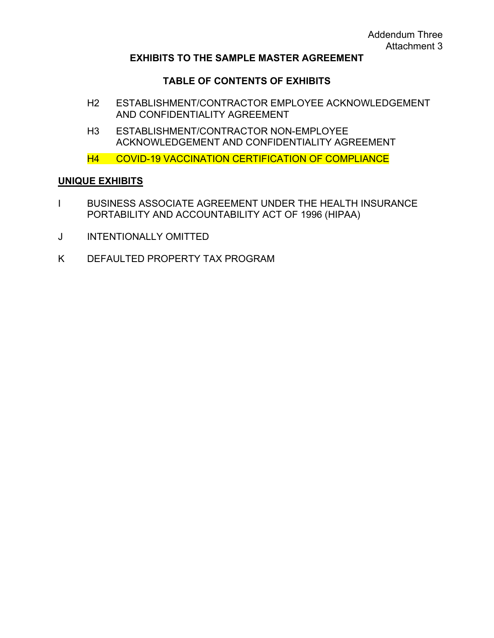#### **EXHIBITS TO THE SAMPLE MASTER AGREEMENT**

#### **TABLE OF CONTENTS OF EXHIBITS**

- H2 ESTABLISHMENT/CONTRACTOR EMPLOYEE ACKNOWLEDGEMENT AND CONFIDENTIALITY AGREEMENT
- H3 ESTABLISHMENT/CONTRACTOR NON-EMPLOYEE ACKNOWLEDGEMENT AND CONFIDENTIALITY AGREEMENT
- H4 COVID-19 VACCINATION CERTIFICATION OF COMPLIANCE

#### **UNIQUE EXHIBITS**

- I BUSINESS ASSOCIATE AGREEMENT UNDER THE HEALTH INSURANCE PORTABILITY AND ACCOUNTABILITY ACT OF 1996 (HIPAA)
- J INTENTIONALLY OMITTED
- K DEFAULTED PROPERTY TAX PROGRAM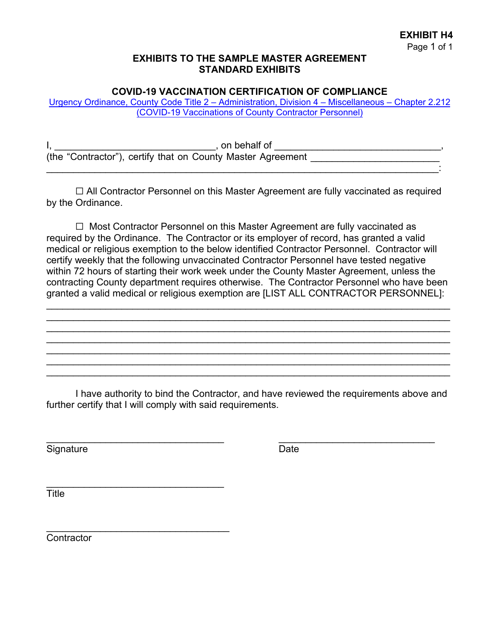#### **EXHIBITS TO THE SAMPLE MASTER AGREEMENT STANDARD EXHIBITS**

#### **COVID-19 VACCINATION CERTIFICATION OF COMPLIANCE**

[Urgency Ordinance, County Code Title 2 – Administration, Division 4](https://library.municode.com/ca/los_angeles_county/codes/code_of_ordinances?nodeId=TIT2AD_DIV4MIRE_CH2.212COVACOCOPE) – Miscellaneous – Chapter 2.212 (COVID-19 Vaccinations of [County Contractor Personnel\)](https://library.municode.com/ca/los_angeles_county/codes/code_of_ordinances?nodeId=TIT2AD_DIV4MIRE_CH2.212COVACOCOPE)

| on behalf of                                                |  |
|-------------------------------------------------------------|--|
| (the "Contractor"), certify that on County Master Agreement |  |
|                                                             |  |

☐ All Contractor Personnel on this Master Agreement are fully vaccinated as required by the Ordinance.

☐ Most Contractor Personnel on this Master Agreement are fully vaccinated as required by the Ordinance. The Contractor or its employer of record, has granted a valid medical or religious exemption to the below identified Contractor Personnel. Contractor will certify weekly that the following unvaccinated Contractor Personnel have tested negative within 72 hours of starting their work week under the County Master Agreement, unless the contracting County department requires otherwise. The Contractor Personnel who have been granted a valid medical or religious exemption are [LIST ALL CONTRACTOR PERSONNEL]:

\_\_\_\_\_\_\_\_\_\_\_\_\_\_\_\_\_\_\_\_\_\_\_\_\_\_\_\_\_\_\_\_\_\_\_\_\_\_\_\_\_\_\_\_\_\_\_\_\_\_\_\_\_\_\_\_\_\_\_\_\_\_\_\_\_\_\_\_\_\_\_\_\_\_\_ \_\_\_\_\_\_\_\_\_\_\_\_\_\_\_\_\_\_\_\_\_\_\_\_\_\_\_\_\_\_\_\_\_\_\_\_\_\_\_\_\_\_\_\_\_\_\_\_\_\_\_\_\_\_\_\_\_\_\_\_\_\_\_\_\_\_\_\_\_\_\_\_\_\_\_ \_\_\_\_\_\_\_\_\_\_\_\_\_\_\_\_\_\_\_\_\_\_\_\_\_\_\_\_\_\_\_\_\_\_\_\_\_\_\_\_\_\_\_\_\_\_\_\_\_\_\_\_\_\_\_\_\_\_\_\_\_\_\_\_\_\_\_\_\_\_\_\_\_\_\_ \_\_\_\_\_\_\_\_\_\_\_\_\_\_\_\_\_\_\_\_\_\_\_\_\_\_\_\_\_\_\_\_\_\_\_\_\_\_\_\_\_\_\_\_\_\_\_\_\_\_\_\_\_\_\_\_\_\_\_\_\_\_\_\_\_\_\_\_\_\_\_\_\_\_\_ \_\_\_\_\_\_\_\_\_\_\_\_\_\_\_\_\_\_\_\_\_\_\_\_\_\_\_\_\_\_\_\_\_\_\_\_\_\_\_\_\_\_\_\_\_\_\_\_\_\_\_\_\_\_\_\_\_\_\_\_\_\_\_\_\_\_\_\_\_\_\_\_\_\_\_ \_\_\_\_\_\_\_\_\_\_\_\_\_\_\_\_\_\_\_\_\_\_\_\_\_\_\_\_\_\_\_\_\_\_\_\_\_\_\_\_\_\_\_\_\_\_\_\_\_\_\_\_\_\_\_\_\_\_\_\_\_\_\_\_\_\_\_\_\_\_\_\_\_\_\_ \_\_\_\_\_\_\_\_\_\_\_\_\_\_\_\_\_\_\_\_\_\_\_\_\_\_\_\_\_\_\_\_\_\_\_\_\_\_\_\_\_\_\_\_\_\_\_\_\_\_\_\_\_\_\_\_\_\_\_\_\_\_\_\_\_\_\_\_\_\_\_\_\_\_\_

I have authority to bind the Contractor, and have reviewed the requirements above and further certify that I will comply with said requirements.

\_\_\_\_\_\_\_\_\_\_\_\_\_\_\_\_\_\_\_\_\_\_\_\_\_\_\_\_\_\_\_\_\_ \_\_\_\_\_\_\_\_\_\_\_\_\_\_\_\_\_\_\_\_\_\_\_\_\_\_\_\_\_

Signature Date **Date** 

\_\_\_\_\_\_\_\_\_\_\_\_\_\_\_\_\_\_\_\_\_\_\_\_\_\_\_\_\_\_\_\_\_

\_\_\_\_\_\_\_\_\_\_\_\_\_\_\_\_\_\_\_\_\_\_\_\_\_\_\_\_\_\_\_\_\_\_

**Title** 

**Contractor**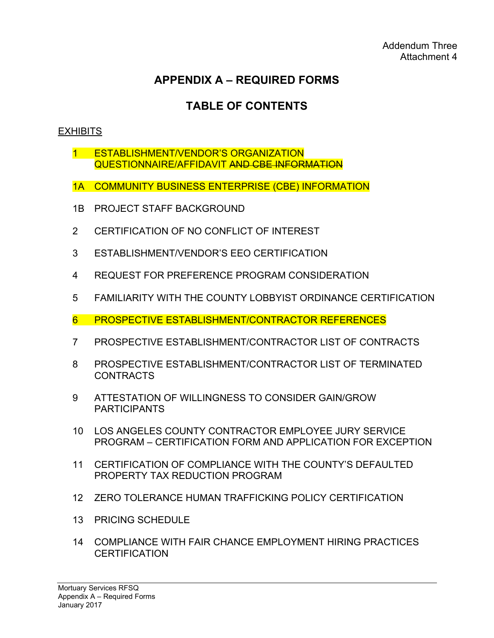# **TABLE OF CONTENTS**

# **EXHIBITS**

- 1 ESTABLISHMENT/VENDOR'S ORGANIZATION QUESTIONNAIRE/AFFIDAVIT AND CBE INFORMATION
- 1A COMMUNITY BUSINESS ENTERPRISE (CBE) INFORMATION
- 1B PROJECT STAFF BACKGROUND
- 2 CERTIFICATION OF NO CONFLICT OF INTEREST
- 3 ESTABLISHMENT/VENDOR'S EEO CERTIFICATION
- 4 REQUEST FOR PREFERENCE PROGRAM CONSIDERATION
- 5 FAMILIARITY WITH THE COUNTY LOBBYIST ORDINANCE CERTIFICATION
- 6 PROSPECTIVE ESTABLISHMENT/CONTRACTOR REFERENCES
- 7 PROSPECTIVE ESTABLISHMENT/CONTRACTOR LIST OF CONTRACTS
- 8 PROSPECTIVE ESTABLISHMENT/CONTRACTOR LIST OF TERMINATED CONTRACTS
- 9 ATTESTATION OF WILLINGNESS TO CONSIDER GAIN/GROW **PARTICIPANTS**
- 10 LOS ANGELES COUNTY CONTRACTOR EMPLOYEE JURY SERVICE PROGRAM – CERTIFICATION FORM AND APPLICATION FOR EXCEPTION
- 11 CERTIFICATION OF COMPLIANCE WITH THE COUNTY'S DEFAULTED PROPERTY TAX REDUCTION PROGRAM
- 12 ZERO TOLERANCE HUMAN TRAFFICKING POLICY CERTIFICATION
- 13 PRICING SCHEDULE
- 14 COMPLIANCE WITH FAIR CHANCE EMPLOYMENT HIRING PRACTICES **CERTIFICATION**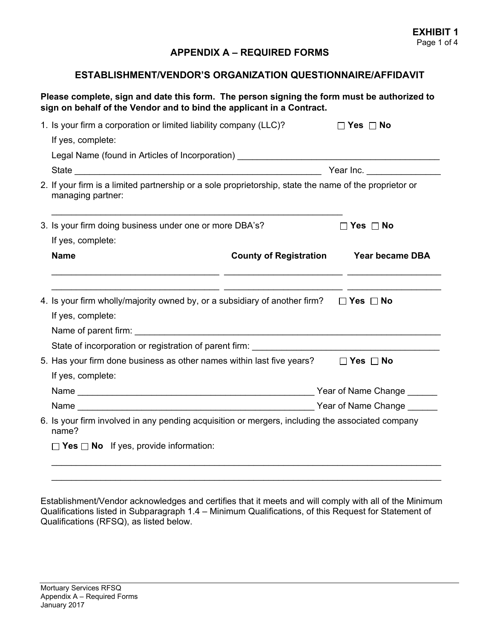#### **ESTABLISHMENT/VENDOR'S ORGANIZATION QUESTIONNAIRE/AFFIDAVIT**

#### **Please complete, sign and date this form. The person signing the form must be authorized to sign on behalf of the Vendor and to bind the applicant in a Contract.**

| Legal Name (found in Articles of Incorporation) ________________________________<br>Year Inc. ________________                                                                                                                                                                                                                                |
|-----------------------------------------------------------------------------------------------------------------------------------------------------------------------------------------------------------------------------------------------------------------------------------------------------------------------------------------------|
|                                                                                                                                                                                                                                                                                                                                               |
|                                                                                                                                                                                                                                                                                                                                               |
|                                                                                                                                                                                                                                                                                                                                               |
| 2. If your firm is a limited partnership or a sole proprietorship, state the name of the proprietor or                                                                                                                                                                                                                                        |
| 3. Is your firm doing business under one or more DBA's?<br>$\Box$ Yes $\Box$ No                                                                                                                                                                                                                                                               |
|                                                                                                                                                                                                                                                                                                                                               |
| <b>County of Registration Year became DBA</b>                                                                                                                                                                                                                                                                                                 |
| <u> 1999 - Johann Harry Harry Barn, amerikan basar pada 1990 - Johann Harry Barn, mengandakan pada 1990 - Johann H</u><br>4. Is your firm wholly/majority owned by, or a subsidiary of another firm? $\Box$ Yes $\Box$ No<br>State of incorporation or registration of parent firm:<br>State of incorporation or registration of parent firm: |
| 5. Has your firm done business as other names within last five years?<br>$\Box$ Yes $\Box$ No                                                                                                                                                                                                                                                 |
|                                                                                                                                                                                                                                                                                                                                               |
|                                                                                                                                                                                                                                                                                                                                               |
| 6. Is your firm involved in any pending acquisition or mergers, including the associated company                                                                                                                                                                                                                                              |
|                                                                                                                                                                                                                                                                                                                                               |
|                                                                                                                                                                                                                                                                                                                                               |

Establishment/Vendor acknowledges and certifies that it meets and will comply with all of the Minimum Qualifications listed in Subparagraph 1.4 – Minimum Qualifications, of this Request for Statement of Qualifications (RFSQ), as listed below.

 $\_$  , and the set of the set of the set of the set of the set of the set of the set of the set of the set of the set of the set of the set of the set of the set of the set of the set of the set of the set of the set of th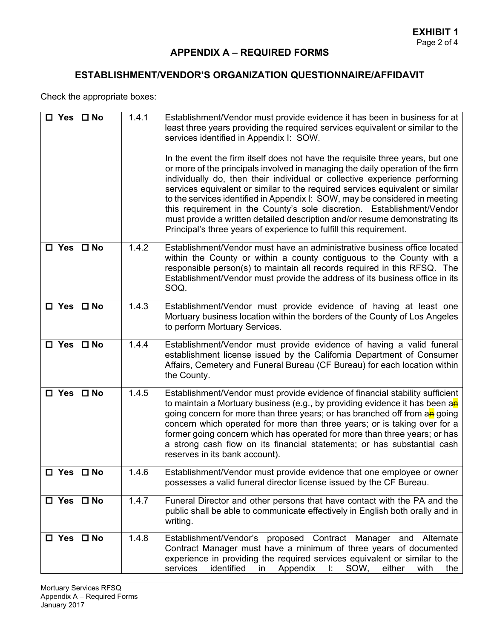# **ESTABLISHMENT/VENDOR'S ORGANIZATION QUESTIONNAIRE/AFFIDAVIT**

Check the appropriate boxes:

| $\square$ Yes $\square$ No | 1.4.1 | Establishment/Vendor must provide evidence it has been in business for at<br>least three years providing the required services equivalent or similar to the<br>services identified in Appendix I: SOW.<br>In the event the firm itself does not have the requisite three years, but one<br>or more of the principals involved in managing the daily operation of the firm<br>individually do, then their individual or collective experience performing<br>services equivalent or similar to the required services equivalent or similar<br>to the services identified in Appendix I: SOW, may be considered in meeting<br>this requirement in the County's sole discretion. Establishment/Vendor<br>must provide a written detailed description and/or resume demonstrating its<br>Principal's three years of experience to fulfill this requirement. |
|----------------------------|-------|--------------------------------------------------------------------------------------------------------------------------------------------------------------------------------------------------------------------------------------------------------------------------------------------------------------------------------------------------------------------------------------------------------------------------------------------------------------------------------------------------------------------------------------------------------------------------------------------------------------------------------------------------------------------------------------------------------------------------------------------------------------------------------------------------------------------------------------------------------|
| $\square$ Yes $\square$ No | 1.4.2 | Establishment/Vendor must have an administrative business office located<br>within the County or within a county contiguous to the County with a<br>responsible person(s) to maintain all records required in this RFSQ. The<br>Establishment/Vendor must provide the address of its business office in its<br>SOQ.                                                                                                                                                                                                                                                                                                                                                                                                                                                                                                                                    |
| $\square$ Yes $\square$ No | 1.4.3 | Establishment/Vendor must provide evidence of having at least one<br>Mortuary business location within the borders of the County of Los Angeles<br>to perform Mortuary Services.                                                                                                                                                                                                                                                                                                                                                                                                                                                                                                                                                                                                                                                                       |
| $\square$ Yes $\square$ No | 1.4.4 | Establishment/Vendor must provide evidence of having a valid funeral<br>establishment license issued by the California Department of Consumer<br>Affairs, Cemetery and Funeral Bureau (CF Bureau) for each location within<br>the County.                                                                                                                                                                                                                                                                                                                                                                                                                                                                                                                                                                                                              |
| □ Yes □ No                 | 1.4.5 | Establishment/Vendor must provide evidence of financial stability sufficient<br>to maintain a Mortuary business (e.g., by providing evidence it has been an<br>going concern for more than three years; or has branched off from an going<br>concern which operated for more than three years; or is taking over for a<br>former going concern which has operated for more than three years; or has<br>a strong cash flow on its financial statements; or has substantial cash<br>reserves in its bank account).                                                                                                                                                                                                                                                                                                                                       |
| $\square$ Yes $\square$ No | 1.4.6 | Establishment/Vendor must provide evidence that one employee or owner<br>possesses a valid funeral director license issued by the CF Bureau.                                                                                                                                                                                                                                                                                                                                                                                                                                                                                                                                                                                                                                                                                                           |
| $\square$ Yes $\square$ No | 1.4.7 | Funeral Director and other persons that have contact with the PA and the<br>public shall be able to communicate effectively in English both orally and in<br>writing.                                                                                                                                                                                                                                                                                                                                                                                                                                                                                                                                                                                                                                                                                  |
| □ Yes □ No                 | 1.4.8 | Establishment/Vendor's proposed<br>Contract Manager<br>and Alternate<br>Contract Manager must have a minimum of three years of documented<br>experience in providing the required services equivalent or similar to the<br>identified<br>services<br>Appendix<br>Ŀ.<br>SOW,<br>either<br>with<br>in<br>the                                                                                                                                                                                                                                                                                                                                                                                                                                                                                                                                             |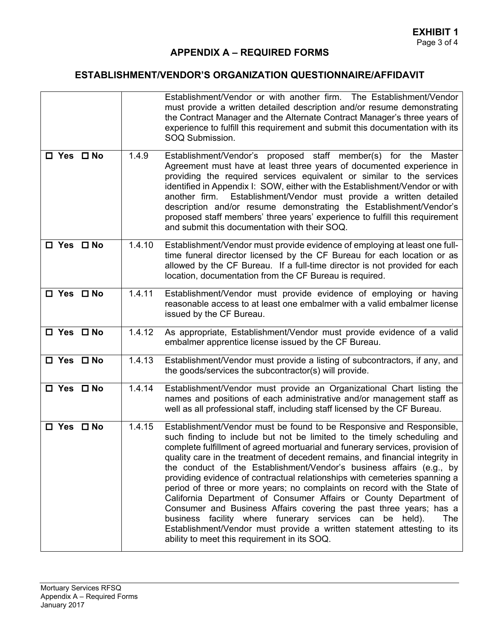# **ESTABLISHMENT/VENDOR'S ORGANIZATION QUESTIONNAIRE/AFFIDAVIT**

|                            |        | Establishment/Vendor or with another firm. The Establishment/Vendor<br>must provide a written detailed description and/or resume demonstrating<br>the Contract Manager and the Alternate Contract Manager's three years of<br>experience to fulfill this requirement and submit this documentation with its<br>SOQ Submission.                                                                                                                                                                                                                                                                                                                                                                                                                                                                                                                                                                |  |  |  |  |  |  |
|----------------------------|--------|-----------------------------------------------------------------------------------------------------------------------------------------------------------------------------------------------------------------------------------------------------------------------------------------------------------------------------------------------------------------------------------------------------------------------------------------------------------------------------------------------------------------------------------------------------------------------------------------------------------------------------------------------------------------------------------------------------------------------------------------------------------------------------------------------------------------------------------------------------------------------------------------------|--|--|--|--|--|--|
| $\square$ Yes $\square$ No | 1.4.9  | Establishment/Vendor's proposed staff member(s) for the<br>Master<br>Agreement must have at least three years of documented experience in<br>providing the required services equivalent or similar to the services<br>identified in Appendix I: SOW, either with the Establishment/Vendor or with<br>Establishment/Vendor must provide a written detailed<br>another firm.<br>description and/or resume demonstrating the Establishment/Vendor's<br>proposed staff members' three years' experience to fulfill this requirement<br>and submit this documentation with their SOQ.                                                                                                                                                                                                                                                                                                              |  |  |  |  |  |  |
| □ Yes □ No                 | 1.4.10 | Establishment/Vendor must provide evidence of employing at least one full-<br>time funeral director licensed by the CF Bureau for each location or as<br>allowed by the CF Bureau. If a full-time director is not provided for each<br>location, documentation from the CF Bureau is required.                                                                                                                                                                                                                                                                                                                                                                                                                                                                                                                                                                                                |  |  |  |  |  |  |
| $\square$ Yes $\square$ No | 1.4.11 | Establishment/Vendor must provide evidence of employing or having<br>reasonable access to at least one embalmer with a valid embalmer license<br>issued by the CF Bureau.                                                                                                                                                                                                                                                                                                                                                                                                                                                                                                                                                                                                                                                                                                                     |  |  |  |  |  |  |
| □ Yes □ No                 | 1.4.12 | As appropriate, Establishment/Vendor must provide evidence of a valid<br>embalmer apprentice license issued by the CF Bureau.                                                                                                                                                                                                                                                                                                                                                                                                                                                                                                                                                                                                                                                                                                                                                                 |  |  |  |  |  |  |
| □ Yes □ No                 | 1.4.13 | Establishment/Vendor must provide a listing of subcontractors, if any, and<br>the goods/services the subcontractor(s) will provide.                                                                                                                                                                                                                                                                                                                                                                                                                                                                                                                                                                                                                                                                                                                                                           |  |  |  |  |  |  |
| □ Yes □ No                 | 1.4.14 | Establishment/Vendor must provide an Organizational Chart listing the<br>names and positions of each administrative and/or management staff as<br>well as all professional staff, including staff licensed by the CF Bureau.                                                                                                                                                                                                                                                                                                                                                                                                                                                                                                                                                                                                                                                                  |  |  |  |  |  |  |
| $\square$ Yes $\square$ No | 1.4.15 | Establishment/Vendor must be found to be Responsive and Responsible,<br>such finding to include but not be limited to the timely scheduling and<br>complete fulfillment of agreed mortuarial and funerary services, provision of<br>quality care in the treatment of decedent remains, and financial integrity in<br>the conduct of the Establishment/Vendor's business affairs (e.g., by<br>providing evidence of contractual relationships with cemeteries spanning a<br>period of three or more years; no complaints on record with the State of<br>California Department of Consumer Affairs or County Department of<br>Consumer and Business Affairs covering the past three years; has a<br>business facility where funerary services can<br>be held).<br>The<br>Establishment/Vendor must provide a written statement attesting to its<br>ability to meet this requirement in its SOQ. |  |  |  |  |  |  |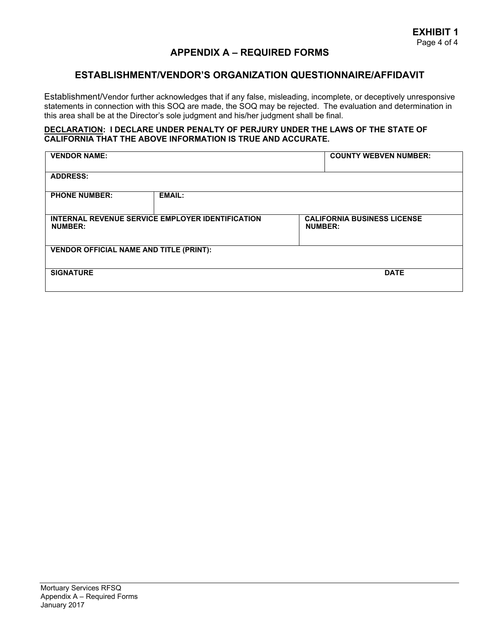#### **ESTABLISHMENT/VENDOR'S ORGANIZATION QUESTIONNAIRE/AFFIDAVIT**

Establishment/Vendor further acknowledges that if any false, misleading, incomplete, or deceptively unresponsive statements in connection with this SOQ are made, the SOQ may be rejected. The evaluation and determination in this area shall be at the Director's sole judgment and his/her judgment shall be final.

#### **DECLARATION: I DECLARE UNDER PENALTY OF PERJURY UNDER THE LAWS OF THE STATE OF CALIFORNIA THAT THE ABOVE INFORMATION IS TRUE AND ACCURATE.**

| <b>VENDOR NAME:</b>                            |                                                         | <b>COUNTY WEBVEN NUMBER:</b>                         |             |  |  |  |
|------------------------------------------------|---------------------------------------------------------|------------------------------------------------------|-------------|--|--|--|
| <b>ADDRESS:</b>                                |                                                         |                                                      |             |  |  |  |
| <b>PHONE NUMBER:</b>                           | <b>EMAIL:</b>                                           |                                                      |             |  |  |  |
| <b>NUMBER:</b>                                 | <b>INTERNAL REVENUE SERVICE EMPLOYER IDENTIFICATION</b> | <b>CALIFORNIA BUSINESS LICENSE</b><br><b>NUMBER:</b> |             |  |  |  |
| <b>VENDOR OFFICIAL NAME AND TITLE (PRINT):</b> |                                                         |                                                      |             |  |  |  |
| <b>SIGNATURE</b>                               |                                                         |                                                      | <b>DATE</b> |  |  |  |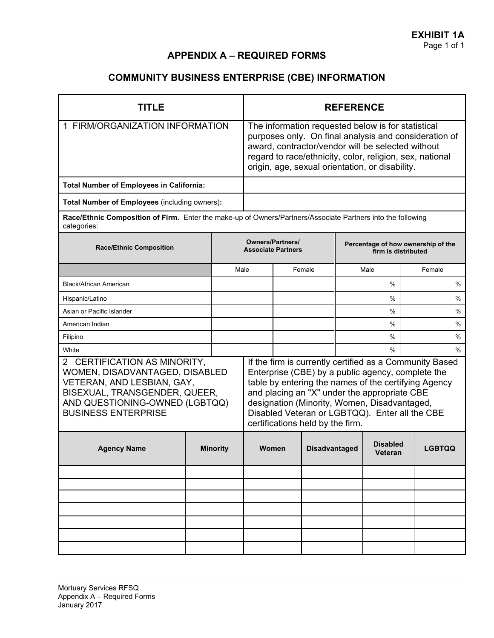# **COMMUNITY BUSINESS ENTERPRISE (CBE) INFORMATION**

| <b>TITLE</b>                                                                                                                                                                                           |                                                      |                 | <b>REFERENCE</b>                                                                                                                                                                                                                                                                |                                                                                                                                                                                                                                                                                                                                                                    |                      |      |                     |      |               |
|--------------------------------------------------------------------------------------------------------------------------------------------------------------------------------------------------------|------------------------------------------------------|-----------------|---------------------------------------------------------------------------------------------------------------------------------------------------------------------------------------------------------------------------------------------------------------------------------|--------------------------------------------------------------------------------------------------------------------------------------------------------------------------------------------------------------------------------------------------------------------------------------------------------------------------------------------------------------------|----------------------|------|---------------------|------|---------------|
| 1 FIRM/ORGANIZATION INFORMATION                                                                                                                                                                        |                                                      |                 | The information requested below is for statistical<br>purposes only. On final analysis and consideration of<br>award, contractor/vendor will be selected without<br>regard to race/ethnicity, color, religion, sex, national<br>origin, age, sexual orientation, or disability. |                                                                                                                                                                                                                                                                                                                                                                    |                      |      |                     |      |               |
| <b>Total Number of Employees in California:</b>                                                                                                                                                        |                                                      |                 |                                                                                                                                                                                                                                                                                 |                                                                                                                                                                                                                                                                                                                                                                    |                      |      |                     |      |               |
| Total Number of Employees (including owners):                                                                                                                                                          |                                                      |                 |                                                                                                                                                                                                                                                                                 |                                                                                                                                                                                                                                                                                                                                                                    |                      |      |                     |      |               |
| Race/Ethnic Composition of Firm. Enter the make-up of Owners/Partners/Associate Partners into the following<br>categories:                                                                             |                                                      |                 |                                                                                                                                                                                                                                                                                 |                                                                                                                                                                                                                                                                                                                                                                    |                      |      |                     |      |               |
| <b>Race/Ethnic Composition</b>                                                                                                                                                                         | <b>Owners/Partners/</b><br><b>Associate Partners</b> |                 |                                                                                                                                                                                                                                                                                 | Percentage of how ownership of the<br>firm is distributed                                                                                                                                                                                                                                                                                                          |                      |      |                     |      |               |
|                                                                                                                                                                                                        |                                                      | Male            |                                                                                                                                                                                                                                                                                 |                                                                                                                                                                                                                                                                                                                                                                    | Female               |      | Male                |      | Female        |
| <b>Black/African American</b>                                                                                                                                                                          |                                                      |                 |                                                                                                                                                                                                                                                                                 |                                                                                                                                                                                                                                                                                                                                                                    |                      |      | %                   |      | $\%$          |
| Hispanic/Latino                                                                                                                                                                                        |                                                      |                 |                                                                                                                                                                                                                                                                                 |                                                                                                                                                                                                                                                                                                                                                                    |                      |      | %                   |      | %             |
| Asian or Pacific Islander                                                                                                                                                                              |                                                      |                 |                                                                                                                                                                                                                                                                                 |                                                                                                                                                                                                                                                                                                                                                                    |                      | $\%$ |                     | $\%$ |               |
| American Indian                                                                                                                                                                                        |                                                      |                 |                                                                                                                                                                                                                                                                                 |                                                                                                                                                                                                                                                                                                                                                                    |                      |      | %                   |      | $\%$          |
| Filipino                                                                                                                                                                                               |                                                      |                 |                                                                                                                                                                                                                                                                                 |                                                                                                                                                                                                                                                                                                                                                                    |                      |      | %                   |      | $\%$          |
| White<br>2 CERTIFICATION AS MINORITY,<br>WOMEN, DISADVANTAGED, DISABLED<br>VETERAN, AND LESBIAN, GAY,<br>BISEXUAL, TRANSGENDER, QUEER,<br>AND QUESTIONING-OWNED (LGBTQQ)<br><b>BUSINESS ENTERPRISE</b> |                                                      |                 |                                                                                                                                                                                                                                                                                 | $\%$<br>If the firm is currently certified as a Community Based<br>Enterprise (CBE) by a public agency, complete the<br>table by entering the names of the certifying Agency<br>and placing an "X" under the appropriate CBE<br>designation (Minority, Women, Disadvantaged,<br>Disabled Veteran or LGBTQQ). Enter all the CBE<br>certifications held by the firm. |                      |      |                     |      | $\%$          |
| <b>Agency Name</b>                                                                                                                                                                                     |                                                      | <b>Minority</b> | Women                                                                                                                                                                                                                                                                           |                                                                                                                                                                                                                                                                                                                                                                    | <b>Disadvantaged</b> |      | Disabled<br>Veteran |      | <b>LGBTQQ</b> |
|                                                                                                                                                                                                        |                                                      |                 |                                                                                                                                                                                                                                                                                 |                                                                                                                                                                                                                                                                                                                                                                    |                      |      |                     |      |               |
|                                                                                                                                                                                                        |                                                      |                 |                                                                                                                                                                                                                                                                                 |                                                                                                                                                                                                                                                                                                                                                                    |                      |      |                     |      |               |
|                                                                                                                                                                                                        |                                                      |                 |                                                                                                                                                                                                                                                                                 |                                                                                                                                                                                                                                                                                                                                                                    |                      |      |                     |      |               |
|                                                                                                                                                                                                        |                                                      |                 |                                                                                                                                                                                                                                                                                 |                                                                                                                                                                                                                                                                                                                                                                    |                      |      |                     |      |               |
|                                                                                                                                                                                                        |                                                      |                 |                                                                                                                                                                                                                                                                                 |                                                                                                                                                                                                                                                                                                                                                                    |                      |      |                     |      |               |
|                                                                                                                                                                                                        |                                                      |                 |                                                                                                                                                                                                                                                                                 |                                                                                                                                                                                                                                                                                                                                                                    |                      |      |                     |      |               |
|                                                                                                                                                                                                        |                                                      |                 |                                                                                                                                                                                                                                                                                 |                                                                                                                                                                                                                                                                                                                                                                    |                      |      |                     |      |               |